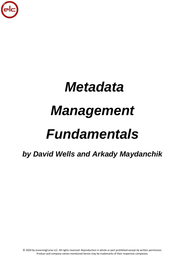

# *Metadata Management Fundamentals*

*by David Wells and Arkady Maydanchik*

© 2020 by eLearningCurve LLC. All rights reserved. Reproduction in whole or part prohibited except by written permission. Product and company names mentioned herein may be trademarks of their respective companies.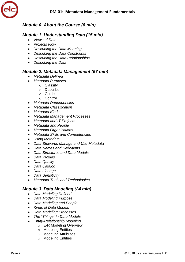

## *Module 0. About the Course (8 min)*

## *Module 1. Understanding Data (15 min)*

- *Views of Data*
- *Projects Flow*
- *Describing the Data Meaning*
- *Describing the Data Constraints*
- *Describing the Data Relationships*
- *Describing the Data*

#### *Module 2. Metadata Management (57 min)*

- *Metadata Defined*
- *Metadata Purposes*
	- o Classify
		- o Describe
		- o Guide
		- o Control
- *Metadata Dependencies*
- *Metadata Classification*
- *Metadata Kinds*
- *Metadata Management Processes*
- *Metadata and IT Projects*
- *Metadata and People*
- *Metadata Organizations*
- *Metadata Skills and Competencies*
- *Using Metadata*
- *Data Stewards Manage and Use Metadata*
- *Data Names and Definitions*
- *Data Structures and Data Models*
- *Data Profiles*
- *Data Quality*
- *Data Catalog*
- *Data Lineage*
- *Data Sensitivity*
- *Metadata Tools and Technologies*

#### *Module 3. Data Modeling (24 min)*

- *Data Modeling Defined*
- *Data Modeling Purpose*
- *Data Modeling and People*
- *Kinds of Data Models*
- *Data Modeling Processes*
- *The "Things" in Data Models*
- *Entity-Relationship Modeling*
	- o E-R Modeling Overview
	- o Modeling Entities
	- o Modeling Attributes
	- o Modeling Entities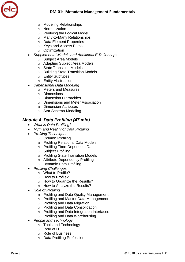

- o Modeling Relationships
- o Normalization
- o Verifying the Logical Model
- o Many-to-Many Relationships
- o Data Element Properties
- o Keys and Access Paths
- o Optimization
- *Supplemental Models and Additional E-R Concepts*
	- o Subject Area Models
	- o Adapting Subject Area Models
	- o State Transition Models
	- o Building State Transition Models
	- o Entity Subtypes
	- o Entity Abstraction
- *Dimensional Data Modeling*
	- o Meters and Measures
	- o Dimensions
	- o Dimension Hierarchies
	- o Dimensions and Meter Association
	- o Dimension Attributes
	- o Star Schema Modeling

### *Module 4. Data Profiling (47 min)*

- *What is Data Profiling?*
- *Myth and Reality of Data Profiling*
- *Profiling Techniques*
	- o Column Profiling
	- o Profiling Relational Data Models
	- o Profiling Time-Dependent Data
	- o Subject Profiling
	- o Profiling State Transition Models
	- o Attribute Dependency Profiling
	- o Dynamic Data Profiling
- *Profiling Challenges*
	- o What to Profile?
	- o How to Profile?
	- o How to Organize the Results?
	- o How to Analyze the Results?
- *Role of Profiling*
	- o Profiling and Data Quality Management
	- o Profiling and Master Data Management
	- o Profiling and Data Migration
	- o Profiling and Data Consolidation
	- o Profiling and Data Integration Interfaces
	- o Profiling and Data Warehousing
- *People and Technology*
	- o Tools and Technology
	- o Role of IT
	- o Role of Business
	- o Data Profiling Profession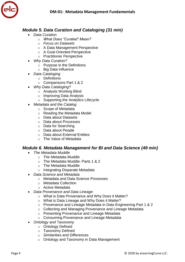## *Module 5. Data Curation and Cataloging (31 min)*

- *Data Curation*
	- o *What Does "Curated" Mean?*
	- o *Focus on Datasets*
	- o A Data Management Perspective
	- o A Goal-Oriented Perspective
	- o Practitioner Perspective
- *Why Data Curation?*
	- o Purpose in the Definitions
	- o Big Data Influence
- *Data Cataloging*
	- o Definitions
	- o Comparisons Part 1 & 2
- *Why Data Cataloging?*
	- $\circ$  Analysts Working Blind
	- o Improving Data Analysis
	- o Supporting the Analytics Lifecycle
- *Metadata and the Catalog*
	- o Scope of Metadata
	- o Reading the Metadata Model
	- o Data about Datasets
	- o Data about Processes
	- o Data for Searching
	- o Data about People
	- o Data about External Entities
	- o The Value of Metadata

#### *Module 6. Metadata Management for BI and Data Science (49 min)*

- *The Metadata Muddle*
	- o The Metadata Muddle
	- o The Metadata Muddle: Parts 1 & 2
	- o The Metadata Muddle
	- o Integrating Disparate Metadata
- *Data Science and Metadata*
	- o Metadata and Data Science Processes
	- o Metadata Collection
	- o Active Metadata
- *Data Provenance and Data Lineage*
	- o What is Data Provenance and Why Does it Matter?
	- o What is Data Lineage and Why Does it Matter?
	- o Provenance and Lineage Metadata in Data Engineering Part 1 & 2
	- o Collecting and Managing Provenance and Lineage Metadata
	- o Presenting Provenance and Lineage Metadata
	- o Consuming Provenance and Lineage Metadata
- *Ontology and Taxonomy*
	- o Ontology Defined
	- o Taxonomy Defined
	- o Similarities and Differences
	- o Ontology and Taxonomy in Data Management